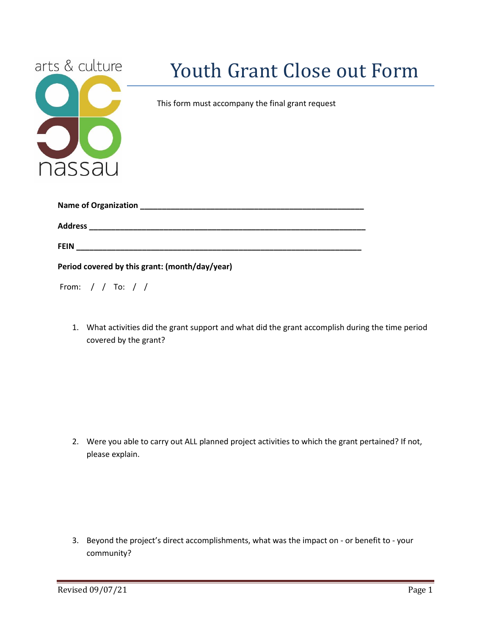| arts & culture                                 | <b>Youth Grant Close out Form</b>                |
|------------------------------------------------|--------------------------------------------------|
|                                                | This form must accompany the final grant request |
|                                                |                                                  |
| nassau                                         |                                                  |
|                                                |                                                  |
|                                                |                                                  |
|                                                |                                                  |
| Period covered by this grant: (month/day/year) |                                                  |
| From: / / To: / /                              |                                                  |

1. What activities did the grant support and what did the grant accomplish during the time period covered by the grant?

2. Were you able to carry out ALL planned project activities to which the grant pertained? If not, please explain.

3. Beyond the project's direct accomplishments, what was the impact on - or benefit to - your community?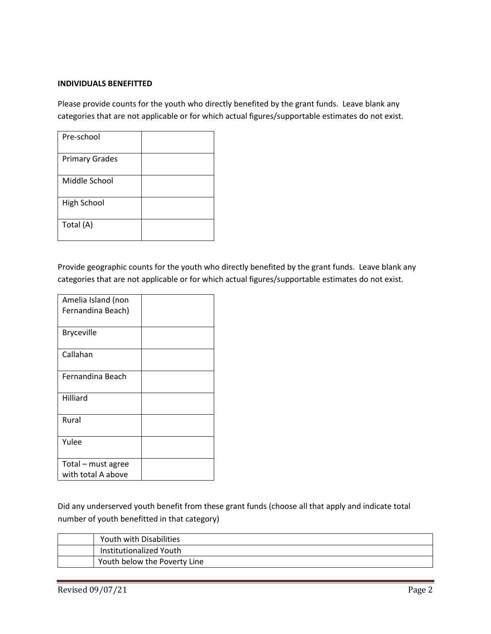## **INDIVIDUALS BENEFITTED**

Please provide counts for the youth who directly benefited by the grant funds. Leave blank any categories that are not applicable or for which actual figures/supportable estimates do not exist.

| Pre-school            |  |
|-----------------------|--|
| <b>Primary Grades</b> |  |
| Middle School         |  |
| <b>High School</b>    |  |
| Total (A)             |  |

Provide geographic counts for the youth who directly benefited by the grant funds. Leave blank any categories that are not applicable or for which actual figures/supportable estimates do not exist.

| Amelia Island (non<br>Fernandina Beach)  |  |
|------------------------------------------|--|
| <b>Bryceville</b>                        |  |
| Callahan                                 |  |
| Fernandina Beach                         |  |
| Hilliard                                 |  |
| Rural                                    |  |
| Yulee                                    |  |
| Total - must agree<br>with total A above |  |

Did any underserved youth benefit from these grant funds (choose all that apply and indicate total number of youth benefitted in that category)

| Youth with Disabilities      |
|------------------------------|
| Institutionalized Youth      |
| Youth below the Poverty Line |